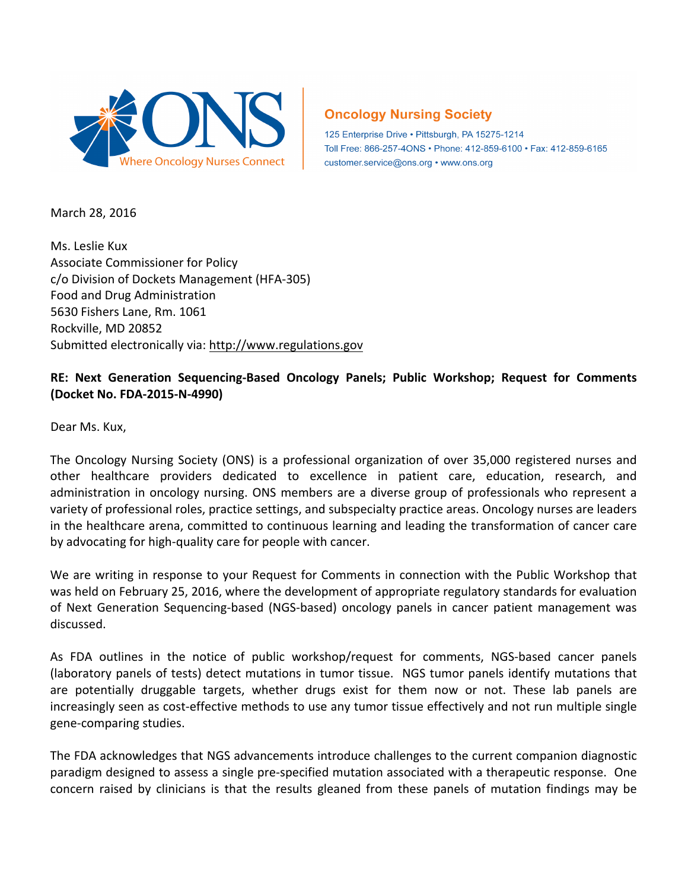

## **Oncology Nursing Society**

125 Enterprise Drive . Pittsburgh, PA 15275-1214 Toll Free: 866-257-4ONS · Phone: 412-859-6100 · Fax: 412-859-6165 customer.service@ons.org • www.ons.org

March 28, 2016

Ms. Leslie Kux Associate Commissioner for Policy c/o Division of Dockets Management (HFA-305) Food and Drug Administration 5630 Fishers Lane, Rm. 1061 Rockville, MD 20852 Submitted electronically via: http://www.regulations.gov

## RE: Next Generation Sequencing-Based Oncology Panels; Public Workshop; Request for Comments **(Docket No. FDA-2015-N-4990)**

Dear Ms. Kux,

The Oncology Nursing Society (ONS) is a professional organization of over 35,000 registered nurses and other healthcare providers dedicated to excellence in patient care, education, research, and administration in oncology nursing. ONS members are a diverse group of professionals who represent a variety of professional roles, practice settings, and subspecialty practice areas. Oncology nurses are leaders in the healthcare arena, committed to continuous learning and leading the transformation of cancer care by advocating for high-quality care for people with cancer.

We are writing in response to your Request for Comments in connection with the Public Workshop that was held on February 25, 2016, where the development of appropriate regulatory standards for evaluation of Next Generation Sequencing-based (NGS-based) oncology panels in cancer patient management was discussed. 

As FDA outlines in the notice of public workshop/request for comments, NGS-based cancer panels (laboratory panels of tests) detect mutations in tumor tissue. NGS tumor panels identify mutations that are potentially druggable targets, whether drugs exist for them now or not. These lab panels are increasingly seen as cost-effective methods to use any tumor tissue effectively and not run multiple single gene-comparing studies.

The FDA acknowledges that NGS advancements introduce challenges to the current companion diagnostic paradigm designed to assess a single pre-specified mutation associated with a therapeutic response. One concern raised by clinicians is that the results gleaned from these panels of mutation findings may be